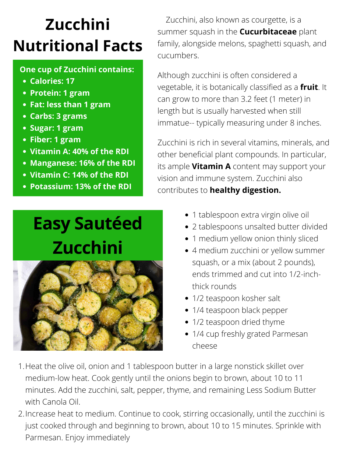Zucchini, also known as courgette, is a summer squash in the **Cucurbitaceae** plant family, alongside melons, spaghetti squash, and cucumbers.

Although zucchini is often considered a vegetable, it is botanically classified as a **fruit**. It can grow to more than 3.2 feet (1 meter) in length but is usually harvested when still immatue-- typically measuring under 8 inches.

Zucchini is rich in several vitamins, minerals, and other beneficial plant compounds. In particular, its ample **V[itamin](https://www.healthline.com/nutrition/vitamin-a-benefits) A** content may support your vision and immune system. Zucchini also contributes to **healthy digestion.**

1. Heat the olive oil, onion and 1 tablespoon butter in a large nonstick skillet over [medium-low](https://www.acouplecooks.com/how-to-cut-an-onion/) heat. Cook gently until the onions begin to brown, about 10 to 11 minutes. Add the zucchini, salt, pepper, thyme, and remaining Less Sodium Butter with Canola Oil.

## **Zucchini Nutritional Facts**

2. Increase heat to medium. Continue to cook, stirring [occasionally,](https://www.acouplecooks.com/how-to-cut-an-onion/) until the zucchini is just cooked through and beginning to brown, about 10 to 15 minutes. Sprinkle with Parmesan. Enjoy immediately

- 1 tablespoon [extra virgin olive oil](https://amzn.to/34bAz5D)
- 2 tablespoons unsalted butter divided
- 
- **Calories: 17**
- **Protein: 1 gram**
- **Fat: less than 1 gram**
- **Carbs: 3 grams**
- **Sugar: 1 gram**
- **Fiber: 1 gram**
- **Vitamin A: 40% of the RDI**
- **Manganese: 16% of the RDI**
- **Vitamin C: 14% of the RDI**
- **Potassium: 13% of the RDI**

### **One cup of Zucchini contains:**

- 1 medium yellow onion thinly sliced
- 4 medium zucchini or yellow summer squash, or a mix (about 2 pounds), ends trimmed and cut into 1/2-inchthick rounds
- 1/2 teaspoon kosher salt
- 1/4 teaspoon black pepper
- 1/2 teaspoon dried thyme
- 1/4 cup freshly grated Parmesan cheese

## **Easy Sautéed**

## **Zucchini**